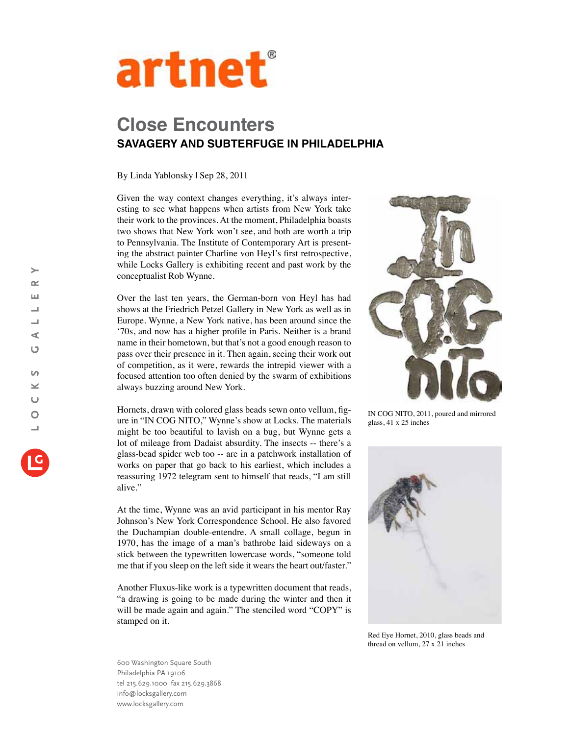

## **Close Encounters SAVAGERY AND SUBTERFUGE IN PHILADELPHIA**

By Linda Yablonsky | Sep 28, 2011

Given the way context changes everything, it's always interesting to see what happens when artists from New York take their work to the provinces. At the moment, Philadelphia boasts two shows that New York won't see, and both are worth a trip to Pennsylvania. The Institute of Contemporary Art is presenting the abstract painter Charline von Heyl's first retrospective, while Locks Gallery is exhibiting recent and past work by the conceptualist Rob Wynne.

Over the last ten years, the German-born von Heyl has had shows at the Friedrich Petzel Gallery in New York as well as in Europe. Wynne, a New York native, has been around since the '70s, and now has a higher profile in Paris. Neither is a brand name in their hometown, but that's not a good enough reason to pass over their presence in it. Then again, seeing their work out of competition, as it were, rewards the intrepid viewer with a focused attention too often denied by the swarm of exhibitions always buzzing around New York.

Hornets, drawn with colored glass beads sewn onto vellum, figure in "IN COG NITO," Wynne's show at Locks. The materials might be too beautiful to lavish on a bug, but Wynne gets a lot of mileage from Dadaist absurdity. The insects -- there's a glass-bead spider web too -- are in a patchwork installation of works on paper that go back to his earliest, which includes a reassuring 1972 telegram sent to himself that reads, "I am still alive."

At the time, Wynne was an avid participant in his mentor Ray Johnson's New York Correspondence School. He also favored the Duchampian double-entendre. A small collage, begun in 1970, has the image of a man's bathrobe laid sideways on a stick between the typewritten lowercase words, "someone told me that if you sleep on the left side it wears the heart out/faster."

Another Fluxus-like work is a typewritten document that reads, "a drawing is going to be made during the winter and then it will be made again and again." The stenciled word "COPY" is stamped on it.



IN COG NITO, 2011, poured and mirrored glass, 41 x 25 inches



Red Eye Hornet, 2010, glass beads and thread on vellum, 27 x 21 inches

600 Washington Square South Philadelphia PA 19106 tel 215.629.1000 fax 215.629.3868 info@locksgallery.com www.locksgallery.com